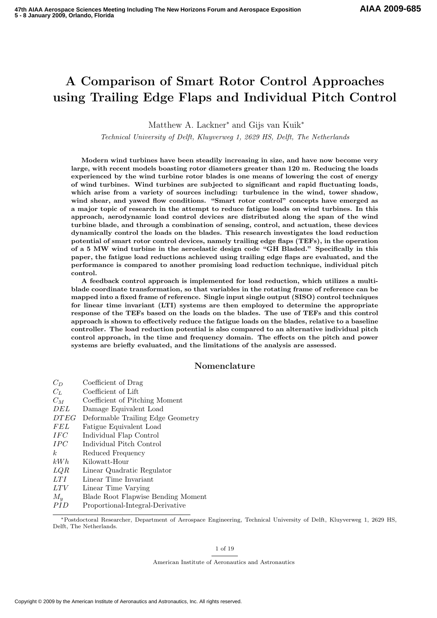# A Comparison of Smart Rotor Control Approaches using Trailing Edge Flaps and Individual Pitch Control

Matthew A. Lackner<sup>∗</sup> and Gijs van Kuik<sup>∗</sup>

Technical University of Delft, Kluyverweg 1, 2629 HS, Delft, The Netherlands

Modern wind turbines have been steadily increasing in size, and have now become very large, with recent models boasting rotor diameters greater than 120 m. Reducing the loads experienced by the wind turbine rotor blades is one means of lowering the cost of energy of wind turbines. Wind turbines are subjected to significant and rapid fluctuating loads, which arise from a variety of sources including: turbulence in the wind, tower shadow, wind shear, and yawed flow conditions. "Smart rotor control" concepts have emerged as a major topic of research in the attempt to reduce fatigue loads on wind turbines. In this approach, aerodynamic load control devices are distributed along the span of the wind turbine blade, and through a combination of sensing, control, and actuation, these devices dynamically control the loads on the blades. This research investigates the load reduction potential of smart rotor control devices, namely trailing edge flaps (TEFs), in the operation of a 5 MW wind turbine in the aeroelastic design code "GH Bladed." Specifically in this paper, the fatigue load reductions achieved using trailing edge flaps are evaluated, and the performance is compared to another promising load reduction technique, individual pitch control.

A feedback control approach is implemented for load reduction, which utilizes a multiblade coordinate transformation, so that variables in the rotating frame of reference can be mapped into a fixed frame of reference. Single input single output (SISO) control techniques for linear time invariant (LTI) systems are then employed to determine the appropriate response of the TEFs based on the loads on the blades. The use of TEFs and this control approach is shown to effectively reduce the fatigue loads on the blades, relative to a baseline controller. The load reduction potential is also compared to an alternative individual pitch control approach, in the time and frequency domain. The effects on the pitch and power systems are briefly evaluated, and the limitations of the analysis are assessed.

## Nomenclature

| $C_D$       | Coefficient of Drag                |
|-------------|------------------------------------|
| $C_L$       | Coefficient of Lift                |
| $C_M$       | Coefficient of Pitching Moment     |
| DEL         | Damage Equivalent Load             |
| DTEG        | Deformable Trailing Edge Geometry  |
| FEL         | Fatigue Equivalent Load            |
| <i>IFC</i>  | Individual Flap Control            |
| IPC         | Individual Pitch Control           |
| k           | Reduced Frequency                  |
| kWh         | Kilowatt-Hour                      |
| LOR         | Linear Quadratic Regulator         |
| LT I        | Linear Time Invariant              |
| <i>LTV</i>  | Linear Time Varying                |
| $M_{\rm u}$ | Blade Root Flapwise Bending Moment |
| PID         | Proportional-Integral-Derivative   |

<sup>∗</sup>Postdoctoral Researcher, Department of Aerospace Engineering, Technical University of Delft, Kluyverweg 1, 2629 HS, Delft, The Netherlands.

## 1 of 19

American Institute of Aeronautics and Astronautics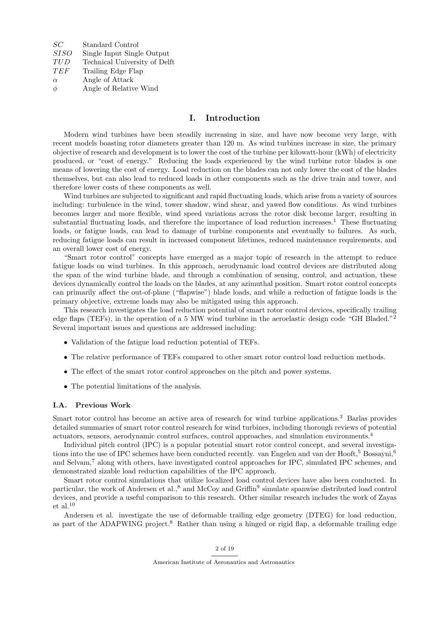SC Standard Control SISO Single Input Single Output  $TUD$  Technical University of Delft  $TEF$  Trailing Edge Flap  $\alpha$  Angle of Attack  $\phi$  Angle of Relative Wind

# I. Introduction

Modern wind turbines have been steadily increasing in size, and have now become very large, with recent models boasting rotor diameters greater than 120 m. As wind turbines increase in size, the primary objective of research and development is to lower the cost of the turbine per kilowatt-hour (kWh) of electricity produced, or "cost of energy." Reducing the loads experienced by the wind turbine rotor blades is one means of lowering the cost of energy. Load reduction on the blades can not only lower the cost of the blades themselves, but can also lead to reduced loads in other components such as the drive train and tower, and therefore lower costs of these components as well.

Wind turbines are subjected to significant and rapid fluctuating loads, which arise from a variety of sources including: turbulence in the wind, tower shadow, wind shear, and yawed flow conditions. As wind turbines becomes larger and more flexible, wind speed variations across the rotor disk become larger, resulting in substantial fluctuating loads, and therefore the importance of load reduction increases.<sup>1</sup> These fluctuating loads, or fatigue loads, can lead to damage of turbine components and eventually to failures. As such, reducing fatigue loads can result in increased component lifetimes, reduced maintenance requirements, and an overall lower cost of energy.

"Smart rotor control" concepts have emerged as a major topic of research in the attempt to reduce fatigue loads on wind turbines. In this approach, aerodynamic load control devices are distributed along the span of the wind turbine blade, and through a combination of sensing, control, and actuation, these devices dynamically control the loads on the blades, at any azimuthal position. Smart rotor control concepts can primarily affect the out-of-plane ("flapwise") blade loads, and while a reduction of fatigue loads is the primary objective, extreme loads may also be mitigated using this approach.

This research investigates the load reduction potential of smart rotor control devices, specifically trailing edge flaps (TEFs), in the operation of a 5 MW wind turbine in the aeroelastic design code "GH Bladed."<sup>2</sup> Several important issues and questions are addressed including:

- Validation of the fatigue load reduction potential of TEFs.
- The relative performance of TEFs compared to other smart rotor control load reduction methods.
- The effect of the smart rotor control approaches on the pitch and power systems.
- The potential limitations of the analysis.

#### I.A. Previous Work

Smart rotor control has become an active area of research for wind turbine applications.<sup>3</sup> Barlas provides detailed summaries of smart rotor control research for wind turbines, including thorough reviews of potential actuators, sensors, aerodynamic control surfaces, control approaches, and simulation environments.<sup>4</sup>

Individual pitch control (IPC) is a popular potential smart rotor control concept, and several investigations into the use of IPC schemes have been conducted recently. van Engelen and van der Hooft,<sup>5</sup> Bossayni,<sup>6</sup> and Selvam,<sup>7</sup> along with others, have investigated control approaches for IPC, simulated IPC schemes, and demonstrated sizable load reduction capabilities of the IPC approach.

Smart rotor control simulations that utilize localized load control devices have also been conducted. In particular, the work of Andersen et al.,<sup>8</sup> and McCoy and Griffin<sup>9</sup> simulate spanwise distributed load control devices, and provide a useful comparison to this research. Other similar research includes the work of Zayas et al. $^{10}$ 

Andersen et al. investigate the use of deformable trailing edge geometry (DTEG) for load reduction, as part of the ADAPWING project.<sup>8</sup> Rather than using a hinged or rigid flap, a deformable trailing edge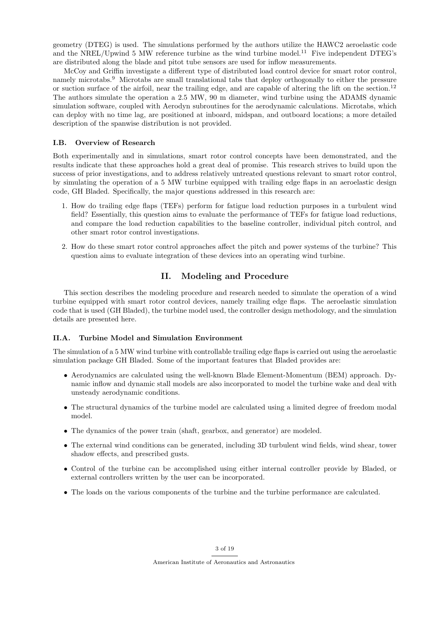geometry (DTEG) is used. The simulations performed by the authors utilize the HAWC2 aeroelastic code and the NREL/Upwind 5 MW reference turbine as the wind turbine model.<sup>11</sup> Five independent DTEG's are distributed along the blade and pitot tube sensors are used for inflow measurements.

McCoy and Griffin investigate a different type of distributed load control device for smart rotor control, namely microtabs.<sup>9</sup> Microtabs are small translational tabs that deploy orthogonally to either the pressure or suction surface of the airfoil, near the trailing edge, and are capable of altering the lift on the section.<sup>12</sup> The authors simulate the operation a 2.5 MW, 90 m diameter, wind turbine using the ADAMS dynamic simulation software, coupled with Aerodyn subroutines for the aerodynamic calculations. Microtabs, which can deploy with no time lag, are positioned at inboard, midspan, and outboard locations; a more detailed description of the spanwise distribution is not provided.

## I.B. Overview of Research

Both experimentally and in simulations, smart rotor control concepts have been demonstrated, and the results indicate that these approaches hold a great deal of promise. This research strives to build upon the success of prior investigations, and to address relatively untreated questions relevant to smart rotor control, by simulating the operation of a 5 MW turbine equipped with trailing edge flaps in an aeroelastic design code, GH Bladed. Specifically, the major questions addressed in this research are:

- 1. How do trailing edge flaps (TEFs) perform for fatigue load reduction purposes in a turbulent wind field? Essentially, this question aims to evaluate the performance of TEFs for fatigue load reductions, and compare the load reduction capabilities to the baseline controller, individual pitch control, and other smart rotor control investigations.
- 2. How do these smart rotor control approaches affect the pitch and power systems of the turbine? This question aims to evaluate integration of these devices into an operating wind turbine.

# II. Modeling and Procedure

This section describes the modeling procedure and research needed to simulate the operation of a wind turbine equipped with smart rotor control devices, namely trailing edge flaps. The aeroelastic simulation code that is used (GH Bladed), the turbine model used, the controller design methodology, and the simulation details are presented here.

## II.A. Turbine Model and Simulation Environment

The simulation of a 5 MW wind turbine with controllable trailing edge flaps is carried out using the aeroelastic simulation package GH Bladed. Some of the important features that Bladed provides are:

- Aerodynamics are calculated using the well-known Blade Element-Momentum (BEM) approach. Dynamic inflow and dynamic stall models are also incorporated to model the turbine wake and deal with unsteady aerodynamic conditions.
- The structural dynamics of the turbine model are calculated using a limited degree of freedom modal model.
- The dynamics of the power train (shaft, gearbox, and generator) are modeled.
- The external wind conditions can be generated, including 3D turbulent wind fields, wind shear, tower shadow effects, and prescribed gusts.
- Control of the turbine can be accomplished using either internal controller provide by Bladed, or external controllers written by the user can be incorporated.
- The loads on the various components of the turbine and the turbine performance are calculated.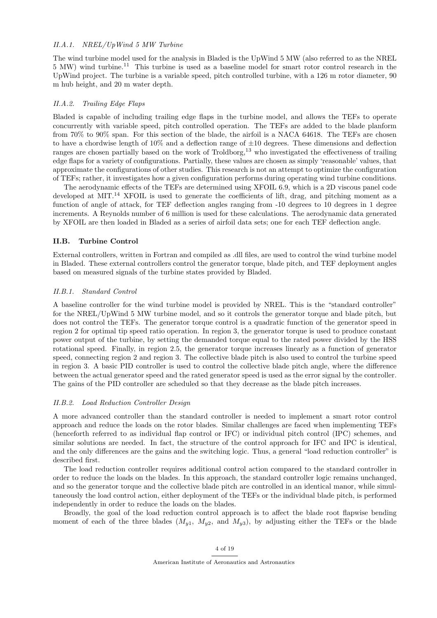#### II.A.1. NREL/UpWind 5 MW Turbine

The wind turbine model used for the analysis in Bladed is the UpWind 5 MW (also referred to as the NREL 5 MW) wind turbine.<sup>11</sup> This turbine is used as a baseline model for smart rotor control research in the UpWind project. The turbine is a variable speed, pitch controlled turbine, with a 126 m rotor diameter, 90 m hub height, and 20 m water depth.

#### II.A.2. Trailing Edge Flaps

Bladed is capable of including trailing edge flaps in the turbine model, and allows the TEFs to operate concurrently with variable speed, pitch controlled operation. The TEFs are added to the blade planform from 70% to 90% span. For this section of the blade, the airfoil is a NACA 64618. The TEFs are chosen to have a chordwise length of  $10\%$  and a deflection range of  $\pm 10$  degrees. These dimensions and deflection ranges are chosen partially based on the work of Troldborg,<sup>13</sup> who investigated the effectiveness of trailing edge flaps for a variety of configurations. Partially, these values are chosen as simply 'reasonable' values, that approximate the configurations of other studies. This research is not an attempt to optimize the configuration of TEFs; rather, it investigates how a given configuration performs during operating wind turbine conditions.

The aerodynamic effects of the TEFs are determined using XFOIL 6.9, which is a 2D viscous panel code developed at MIT.<sup>14</sup> XFOIL is used to generate the coefficients of lift, drag, and pitching moment as a function of angle of attack, for TEF deflection angles ranging from -10 degrees to 10 degrees in 1 degree increments. A Reynolds number of 6 million is used for these calculations. The aerodynamic data generated by XFOIL are then loaded in Bladed as a series of airfoil data sets; one for each TEF deflection angle.

#### II.B. Turbine Control

External controllers, written in Fortran and compiled as .dll files, are used to control the wind turbine model in Bladed. These external controllers control the generator torque, blade pitch, and TEF deployment angles based on measured signals of the turbine states provided by Bladed.

#### II.B.1. Standard Control

A baseline controller for the wind turbine model is provided by NREL. This is the "standard controller" for the NREL/UpWind 5 MW turbine model, and so it controls the generator torque and blade pitch, but does not control the TEFs. The generator torque control is a quadratic function of the generator speed in region 2 for optimal tip speed ratio operation. In region 3, the generator torque is used to produce constant power output of the turbine, by setting the demanded torque equal to the rated power divided by the HSS rotational speed. Finally, in region 2.5, the generator torque increases linearly as a function of generator speed, connecting region 2 and region 3. The collective blade pitch is also used to control the turbine speed in region 3. A basic PID controller is used to control the collective blade pitch angle, where the difference between the actual generator speed and the rated generator speed is used as the error signal by the controller. The gains of the PID controller are scheduled so that they decrease as the blade pitch increases.

#### II.B.2. Load Reduction Controller Design

A more advanced controller than the standard controller is needed to implement a smart rotor control approach and reduce the loads on the rotor blades. Similar challenges are faced when implementing TEFs (henceforth referred to as individual flap control or IFC) or individual pitch control (IPC) schemes, and similar solutions are needed. In fact, the structure of the control approach for IFC and IPC is identical, and the only differences are the gains and the switching logic. Thus, a general "load reduction controller" is described first.

The load reduction controller requires additional control action compared to the standard controller in order to reduce the loads on the blades. In this approach, the standard controller logic remains unchanged, and so the generator torque and the collective blade pitch are controlled in an identical manor, while simultaneously the load control action, either deployment of the TEFs or the individual blade pitch, is performed independently in order to reduce the loads on the blades.

Broadly, the goal of the load reduction control approach is to affect the blade root flapwise bending moment of each of the three blades  $(M_{y1}, M_{y2},$  and  $M_{y3})$ , by adjusting either the TEFs or the blade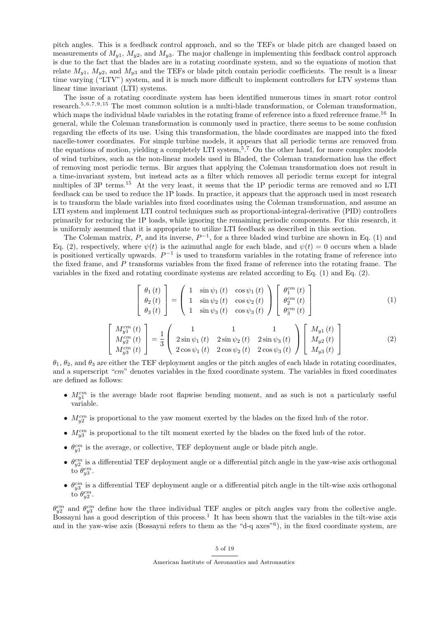pitch angles. This is a feedback control approach, and so the TEFs or blade pitch are changed based on measurements of  $M_{y1}$ ,  $M_{y2}$ , and  $M_{y3}$ . The major challenge in implementing this feedback control approach is due to the fact that the blades are in a rotating coordinate system, and so the equations of motion that relate  $M_{u1}$ ,  $M_{u2}$ , and  $M_{u3}$  and the TEFs or blade pitch contain periodic coefficients. The result is a linear time varying ("LTV") system, and it is much more difficult to implement controllers for LTV systems than linear time invariant (LTI) systems.

The issue of a rotating coordinate system has been identified numerous times in smart rotor control research.<sup>5</sup>,6,7,9,<sup>15</sup> The most common solution is a multi-blade transformation, or Coleman transformation, which maps the individual blade variables in the rotating frame of reference into a fixed reference frame.<sup>16</sup> In general, while the Coleman transformation is commonly used in practice, there seems to be some confusion regarding the effects of its use. Using this transformation, the blade coordinates are mapped into the fixed nacelle-tower coordinates. For simple turbine models, it appears that all periodic terms are removed from the equations of motion, yielding a completely LTI system,<sup>5,7</sup> On the other hand, for more complex models of wind turbines, such as the non-linear models used in Bladed, the Coleman transformation has the effect of removing most periodic terms. Bir argues that applying the Coleman transformation does not result in a time-invariant system, but instead acts as a filter which removes all periodic terms except for integral multiples of 3P terms.<sup>15</sup> At the very least, it seems that the 1P periodic terms are removed and so LTI feedback can be used to reduce the 1P loads. In practice, it appears that the approach used in most research is to transform the blade variables into fixed coordinates using the Coleman transformation, and assume an LTI system and implement LTI control techniques such as proportional-integral-derivative (PID) controllers primarily for reducing the 1P loads, while ignoring the remaining periodic components. For this research, it is uniformly assumed that it is appropriate to utilize LTI feedback as described in this section.

The Coleman matrix, P, and its inverse,  $P^{-1}$ , for a three bladed wind turbine are shown in Eq. (1) and Eq. (2), respectively, where  $\psi(t)$  is the azimuthal angle for each blade, and  $\psi(t) = 0$  occurs when a blade is positioned vertically upwards.  $P^{-1}$  is used to transform variables in the rotating frame of reference into the fixed frame, and P transforms variables from the fixed frame of reference into the rotating frame. The variables in the fixed and rotating coordinate systems are related according to Eq. (1) and Eq. (2).

$$
\begin{bmatrix}\n\theta_1(t) \\
\theta_2(t) \\
\theta_3(t)\n\end{bmatrix} = \begin{pmatrix}\n1 & \sin \psi_1(t) & \cos \psi_1(t) \\
1 & \sin \psi_2(t) & \cos \psi_2(t) \\
1 & \sin \psi_3(t) & \cos \psi_3(t)\n\end{pmatrix} \begin{bmatrix}\n\theta_1^{cm}(t) \\
\theta_2^{cm}(t) \\
\theta_3^{cm}(t)\n\end{bmatrix}
$$
\n(1)

$$
\begin{bmatrix}\nM_{y1}^{cm}(t) \\
M_{y2}^{cm}(t) \\
M_{y3}^{cm}(t)\n\end{bmatrix} = \frac{1}{3} \begin{pmatrix}\n1 & 1 & 1 \\
2 \sin \psi_1(t) & 2 \sin \psi_2(t) & 2 \sin \psi_3(t) \\
2 \cos \psi_1(t) & 2 \cos \psi_2(t) & 2 \cos \psi_3(t)\n\end{pmatrix} \begin{bmatrix}\nM_{y1}(t) \\
M_{y2}(t) \\
M_{y3}(t)\n\end{bmatrix}
$$
\n(2)

 $\theta_1, \theta_2$ , and  $\theta_3$  are either the TEF deployment angles or the pitch angles of each blade in rotating coordinates, and a superscript "cm" denotes variables in the fixed coordinate system. The variables in fixed coordinates are defined as follows:

- $M_{y1}^{cm}$  is the average blade root flapwise bending moment, and as such is not a particularly useful variable.
- $M_{y2}^{cm}$  is proportional to the yaw moment exerted by the blades on the fixed hub of the rotor.
- $M_{y3}^{cm}$  is proportional to the tilt moment exerted by the blades on the fixed hub of the rotor.
- $\theta_{y1}^{cm}$  is the average, or collective, TEF deployment angle or blade pitch angle.
- $\bullet$   $\theta_{y2}^{cm}$  is a differential TEF deployment angle or a differential pitch angle in the yaw-wise axis orthogonal  $\mathop{\rm to}\nolimits \theta_{y3}^{cm}.$
- $\bullet$   $\theta_{y3}^{cm}$  is a differential TEF deployment angle or a differential pitch angle in the tilt-wise axis orthogonal to  $\theta_{y2}^{cm}$ .

 $\theta_{y2}^{cm}$  and  $\theta_{y3}^{cm}$  define how the three individual TEF angles or pitch angles vary from the collective angle. Bossayni has a good description of this process.<sup>1</sup> It has been shown that the variables in the tilt-wise axis and in the yaw-wise axis (Bossayni refers to them as the "d-q axes"<sup>6</sup> ), in the fixed coordinate system, are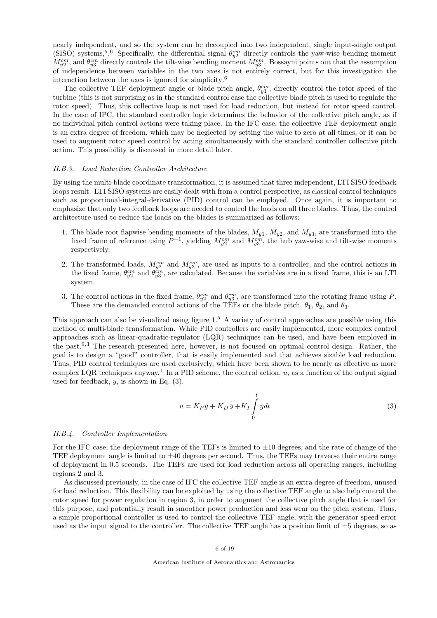nearly independent, and so the system can be decoupled into two independent, single input-single output (SISO) systems,<sup>5</sup>.<sup>6</sup> Specifically, the differential signal  $\theta_{y2}^{cm}$  directly controls the yaw-wise bending moment  $M_{y2}^{cm}$ , and  $\theta_{y3}^{cm}$  directly controls the tilt-wise bending moment  $M_{y3}^{cm}$ . Bossayni points out that the assumption of independence between variables in the two axes is not entirely correct, but for this investigation the interaction between the axes is ignored for simplicity.<sup>6</sup>

The collective TEF deployment angle or blade pitch angle,  $\theta_{y_1}^{cm}$ , directly control the rotor speed of the turbine (this is not surprising as in the standard control case the collective blade pitch is used to regulate the rotor speed). Thus, this collective loop is not used for load reduction, but instead for rotor speed control. In the case of IPC, the standard controller logic determines the behavior of the collective pitch angle, as if no individual pitch control actions were taking place. In the IFC case, the collective TEF deployment angle is an extra degree of freedom, which may be neglected by setting the value to zero at all times, or it can be used to augment rotor speed control by acting simultaneously with the standard controller collective pitch action. This possibility is discussed in more detail later.

#### II.B.3. Load Reduction Controller Architecture

By using the multi-blade coordinate transformation, it is assumed that three independent, LTI SISO feedback loops result. LTI SISO systems are easily dealt with from a control perspective, as classical control techniques such as proportional-integral-derivative (PID) control can be employed. Once again, it is important to emphasize that only two feedback loops are needed to control the loads on all three blades. Thus, the control architecture used to reduce the loads on the blades is summarized as follows:

- 1. The blade root flapwise bending moments of the blades,  $M_{y1}$ ,  $M_{y2}$ , and  $M_{y3}$ , are transformed into the fixed frame of reference using  $P^{-1}$ , yielding  $M_{y2}^{cm}$  and  $M_{y3}^{cm}$ , the hub yaw-wise and tilt-wise moments respectively.
- 2. The transformed loads,  $M_{y2}^{cm}$  and  $M_{y3}^{cm}$ , are used as inputs to a controller, and the control actions in the fixed frame,  $\theta_{y2}^{cm}$  and  $\theta_{y3}^{cm}$ , are calculated. Because the variables are in a fixed frame, this is an LTI system.
- 3. The control actions in the fixed frame,  $\theta_{y2}^{cm}$  and  $\theta_{y3}^{cm}$ , are transformed into the rotating frame using P. These are the demanded control actions of the TEFs or the blade pitch,  $\theta_1$ ,  $\theta_2$ , and  $\theta_3$ .

This approach can also be visualized using figure 1.<sup>5</sup> A variety of control approaches are possible using this method of multi-blade transformation. While PID controllers are easily implemented, more complex control approaches such as linear-quadratic-regulator (LQR) techniques can be used, and have been employed in the past.<sup>9</sup>,<sup>1</sup> The research presented here, however, is not focused on optimal control design. Rather, the goal is to design a "good" controller, that is easily implemented and that achieves sizable load reduction. Thus, PID control techniques are used exclusively, which have been shown to be nearly as effective as more complex LQR techniques anyway.<sup>1</sup> In a PID scheme, the control action, u, as a function of the output signal used for feedback,  $y$ , is shown in Eq.  $(3)$ .

$$
u = K_P y + K_D \dot{y} + K_I \int_0^t y dt
$$
\n(3)

#### II.B.4. Controller Implementation

For the IFC case, the deployment range of the TEFs is limited to  $\pm 10$  degrees, and the rate of change of the TEF deployment angle is limited to  $\pm 40$  degrees per second. Thus, the TEFs may traverse their entire range of deployment in 0.5 seconds. The TEFs are used for load reduction across all operating ranges, including regions 2 and 3.

As discussed previously, in the case of IFC the collective TEF angle is an extra degree of freedom, unused for load reduction. This flexibility can be exploited by using the collective TEF angle to also help control the rotor speed for power regulation in region 3, in order to augment the collective pitch angle that is used for this purpose, and potentially result in smoother power production and less wear on the pitch system. Thus, a simple proportional controller is used to control the collective TEF angle, with the generator speed error used as the input signal to the controller. The collective TEF angle has a position limit of  $\pm 5$  degrees, so as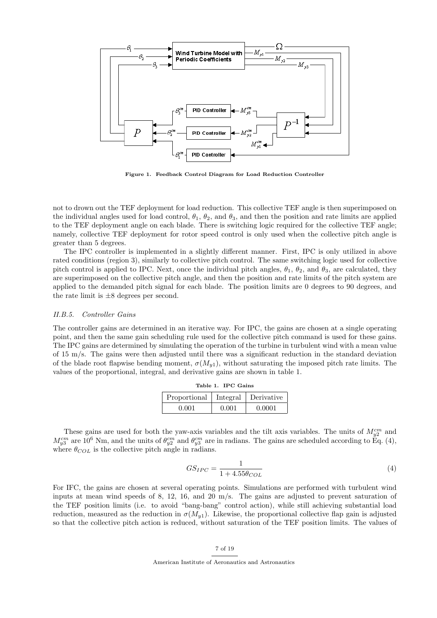

Figure 1. Feedback Control Diagram for Load Reduction Controller

not to drown out the TEF deployment for load reduction. This collective TEF angle is then superimposed on the individual angles used for load control,  $\theta_1$ ,  $\theta_2$ , and  $\theta_3$ , and then the position and rate limits are applied to the TEF deployment angle on each blade. There is switching logic required for the collective TEF angle; namely, collective TEF deployment for rotor speed control is only used when the collective pitch angle is greater than 5 degrees.

The IPC controller is implemented in a slightly different manner. First, IPC is only utilized in above rated conditions (region 3), similarly to collective pitch control. The same switching logic used for collective pitch control is applied to IPC. Next, once the individual pitch angles,  $\theta_1$ ,  $\theta_2$ , and  $\theta_3$ , are calculated, they are superimposed on the collective pitch angle, and then the position and rate limits of the pitch system are applied to the demanded pitch signal for each blade. The position limits are 0 degrees to 90 degrees, and the rate limit is  $\pm 8$  degrees per second.

#### II.B.5. Controller Gains

The controller gains are determined in an iterative way. For IPC, the gains are chosen at a single operating point, and then the same gain scheduling rule used for the collective pitch command is used for these gains. The IPC gains are determined by simulating the operation of the turbine in turbulent wind with a mean value of 15 m/s. The gains were then adjusted until there was a significant reduction in the standard deviation of the blade root flapwise bending moment,  $\sigma(M_{y1})$ , without saturating the imposed pitch rate limits. The values of the proportional, integral, and derivative gains are shown in table 1.

| Table 1. IPC Gains                   |       |        |  |  |
|--------------------------------------|-------|--------|--|--|
| Proportional   Integral   Derivative |       |        |  |  |
| 0.001                                | 0.001 | 0.0001 |  |  |

These gains are used for both the yaw-axis variables and the tilt axis variables. The units of  $M_{y2}^{cm}$  and  $M_{y3}^{cm}$  are 10<sup>6</sup> Nm, and the units of  $\theta_{y2}^{cm}$  and  $\theta_{y3}^{cm}$  are in radians. The gains are scheduled according to Eq. (4), where  $\theta_{COL}$  is the collective pitch angle in radians.

$$
GS_{IPC} = \frac{1}{1 + 4.55\theta_{COL}}\tag{4}
$$

For IFC, the gains are chosen at several operating points. Simulations are performed with turbulent wind inputs at mean wind speeds of 8, 12, 16, and 20 m/s. The gains are adjusted to prevent saturation of the TEF position limits (i.e. to avoid "bang-bang" control action), while still achieving substantial load reduction, measured as the reduction in  $\sigma(M_{y1})$ . Likewise, the proportional collective flap gain is adjusted so that the collective pitch action is reduced, without saturation of the TEF position limits. The values of

## 7 of 19

American Institute of Aeronautics and Astronautics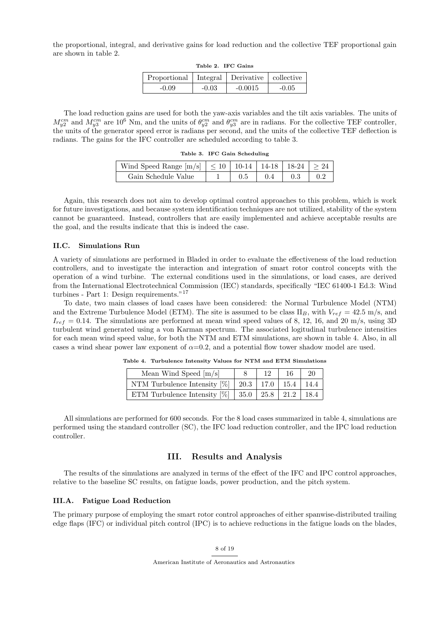the proportional, integral, and derivative gains for load reduction and the collective TEF proportional gain are shown in table 2.

Table 2. IFC Gains

| Proportional   Integral   Derivative   collective |         |           |         |
|---------------------------------------------------|---------|-----------|---------|
| $-0.09$                                           | $-0.03$ | $-0.0015$ | $-0.05$ |

The load reduction gains are used for both the yaw-axis variables and the tilt axis variables. The units of  $M_{y2}^{cm}$  and  $M_{y3}^{cm}$  are 10<sup>6</sup> Nm, and the units of  $\theta_{y2}^{cm}$  and  $\theta_{y3}^{cm}$  are in radians. For the collective TEF controller, the units of the generator speed error is radians per second, and the units of the collective TEF deflection is radians. The gains for the IFC controller are scheduled according to table 3.

| Wind Speed Range $[m/s]$   $\leq 10$   10-14   14-18   18-24   > 24 |     |     |     |     |
|---------------------------------------------------------------------|-----|-----|-----|-----|
| Gain Schedule Value                                                 | 0.5 | 0.4 | 0.3 | 0.2 |

Table 3. IFC Gain Scheduling

Again, this research does not aim to develop optimal control approaches to this problem, which is work for future investigations, and because system identification techniques are not utilized, stability of the system cannot be guaranteed. Instead, controllers that are easily implemented and achieve acceptable results are the goal, and the results indicate that this is indeed the case.

## II.C. Simulations Run

A variety of simulations are performed in Bladed in order to evaluate the effectiveness of the load reduction controllers, and to investigate the interaction and integration of smart rotor control concepts with the operation of a wind turbine. The external conditions used in the simulations, or load cases, are derived from the International Electrotechnical Commission (IEC) standards, specifically "IEC 61400-1 Ed.3: Wind turbines - Part 1: Design requirements."<sup>17</sup>

To date, two main classes of load cases have been considered: the Normal Turbulence Model (NTM) and the Extreme Turbulence Model (ETM). The site is assumed to be class  $II_B$ , with  $V_{ref} = 42.5$  m/s, and  $I_{ref} = 0.14$ . The simulations are performed at mean wind speed values of 8, 12, 16, and 20 m/s, using 3D turbulent wind generated using a von Karman spectrum. The associated logitudinal turbulence intensities for each mean wind speed value, for both the NTM and ETM simulations, are shown in table 4. Also, in all cases a wind shear power law exponent of  $\alpha=0.2$ , and a potential flow tower shadow model are used.

| Mean Wind Speed $[m/s]$                                                   |  | 16 | 20 |
|---------------------------------------------------------------------------|--|----|----|
| NTM Turbulence Intensity $\lbrack \% \rbrack$   20.3   17.0   15.4        |  |    |    |
| ETM Turbulence Intensity $\lbrack \% \rbrack$   35.0   25.8   21.2   18.4 |  |    |    |

Table 4. Turbulence Intensity Values for NTM and ETM Simulations

All simulations are performed for 600 seconds. For the 8 load cases summarized in table 4, simulations are performed using the standard controller (SC), the IFC load reduction controller, and the IPC load reduction controller.

## III. Results and Analysis

The results of the simulations are analyzed in terms of the effect of the IFC and IPC control approaches, relative to the baseline SC results, on fatigue loads, power production, and the pitch system.

## III.A. Fatigue Load Reduction

The primary purpose of employing the smart rotor control approaches of either spanwise-distributed trailing edge flaps (IFC) or individual pitch control (IPC) is to achieve reductions in the fatigue loads on the blades,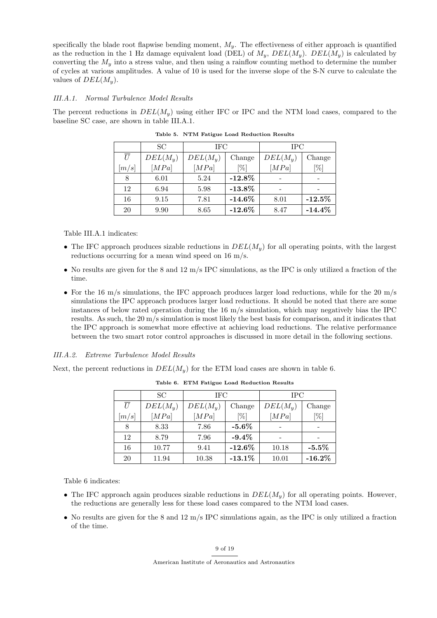specifically the blade root flapwise bending moment,  $M_y$ . The effectiveness of either approach is quantified as the reduction in the 1 Hz damage equivalent load (DEL) of  $M_y$ ,  $DEL(M_y)$ .  $DEL(M_y)$  is calculated by converting the  $M_y$  into a stress value, and then using a rainflow counting method to determine the number of cycles at various amplitudes. A value of 10 is used for the inverse slope of the S-N curve to calculate the values of  $DEL(M_u)$ .

## III.A.1. Normal Turbulence Model Results

The percent reductions in  $DEL(M_y)$  using either IFC or IPC and the NTM load cases, compared to the baseline SC case, are shown in table III.A.1.

|                | <b>SC</b>  | IFC        |            | <b>IPC</b> |          |
|----------------|------------|------------|------------|------------|----------|
| $\overline{U}$ | $DEL(M_u)$ | $DEL(M_u)$ | Change     | $DEL(M_u)$ | Change   |
| [m/s]          | [MPa]      | [MPa]      | [%]        | [MPa]      | $[\%]$   |
| 8              | 6.01       | 5.24       | -12.8 $\%$ |            |          |
| 12             | 6.94       | 5.98       | $-13.8\%$  |            |          |
| 16             | 9.15       | 7.81       | $-14.6\%$  | 8.01       | $-12.5%$ |
| 20             | 9.90       | 8.65       | $-12.6\%$  | 8.47       | $-14.4%$ |

Table 5. NTM Fatigue Load Reduction Results

Table III.A.1 indicates:

- The IFC approach produces sizable reductions in  $DEL(M_u)$  for all operating points, with the largest reductions occurring for a mean wind speed on 16 m/s.
- No results are given for the 8 and 12 m/s IPC simulations, as the IPC is only utilized a fraction of the time.
- For the 16 m/s simulations, the IFC approach produces larger load reductions, while for the 20 m/s simulations the IPC approach produces larger load reductions. It should be noted that there are some instances of below rated operation during the 16 m/s simulation, which may negatively bias the IPC results. As such, the 20 m/s simulation is most likely the best basis for comparison, and it indicates that the IPC approach is somewhat more effective at achieving load reductions. The relative performance between the two smart rotor control approaches is discussed in more detail in the following sections.

## III.A.2. Extreme Turbulence Model Results

Next, the percent reductions in  $DEL(M_u)$  for the ETM load cases are shown in table 6.

|                | SC         | IFC        |           | <b>IPC</b> |           |
|----------------|------------|------------|-----------|------------|-----------|
| $\overline{U}$ | $DEL(M_u)$ | $DEL(M_u)$ | Change    | $DEL(M_u)$ | Change    |
| [m/s]          | [MPa]      | [MPa]      | [%]       | [MPa]      | $[\%]$    |
| 8              | 8.33       | 7.86       | $-5.6\%$  |            |           |
| 12             | 8.79       | 7.96       | $-9.4\%$  |            |           |
| 16             | 10.77      | 9.41       | $-12.6\%$ | 10.18      | $-5.5\%$  |
| 20             | 11.94      | 10.38      | $-13.1\%$ | 10.01      | $-16.2\%$ |

Table 6. ETM Fatigue Load Reduction Results

Table 6 indicates:

- The IFC approach again produces sizable reductions in  $DEL(M_y)$  for all operating points. However, the reductions are generally less for these load cases compared to the NTM load cases.
- No results are given for the 8 and 12 m/s IPC simulations again, as the IPC is only utilized a fraction of the time.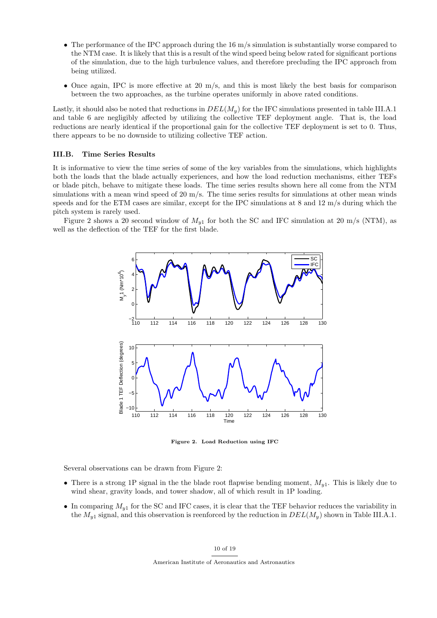- The performance of the IPC approach during the 16 m/s simulation is substantially worse compared to the NTM case. It is likely that this is a result of the wind speed being below rated for significant portions of the simulation, due to the high turbulence values, and therefore precluding the IPC approach from being utilized.
- Once again, IPC is more effective at 20 m/s, and this is most likely the best basis for comparison between the two approaches, as the turbine operates uniformly in above rated conditions.

Lastly, it should also be noted that reductions in  $DEL(M<sub>u</sub>)$  for the IFC simulations presented in table III.A.1 and table 6 are negligibly affected by utilizing the collective TEF deployment angle. That is, the load reductions are nearly identical if the proportional gain for the collective TEF deployment is set to 0. Thus, there appears to be no downside to utilizing collective TEF action.

## III.B. Time Series Results

It is informative to view the time series of some of the key variables from the simulations, which highlights both the loads that the blade actually experiences, and how the load reduction mechanisms, either TEFs or blade pitch, behave to mitigate these loads. The time series results shown here all come from the NTM simulations with a mean wind speed of 20 m/s. The time series results for simulations at other mean winds speeds and for the ETM cases are similar, except for the IPC simulations at 8 and 12 m/s during which the pitch system is rarely used.

Figure 2 shows a 20 second window of  $M_{u1}$  for both the SC and IFC simulation at 20 m/s (NTM), as well as the deflection of the TEF for the first blade.



Figure 2. Load Reduction using IFC

Several observations can be drawn from Figure 2:

- There is a strong 1P signal in the the blade root flapwise bending moment,  $M_{y1}$ . This is likely due to wind shear, gravity loads, and tower shadow, all of which result in 1P loading.
- In comparing  $M_{y1}$  for the SC and IFC cases, it is clear that the TEF behavior reduces the variability in the  $M_{y1}$  signal, and this observation is reenforced by the reduction in  $DEL(M_y)$  shown in Table III.A.1.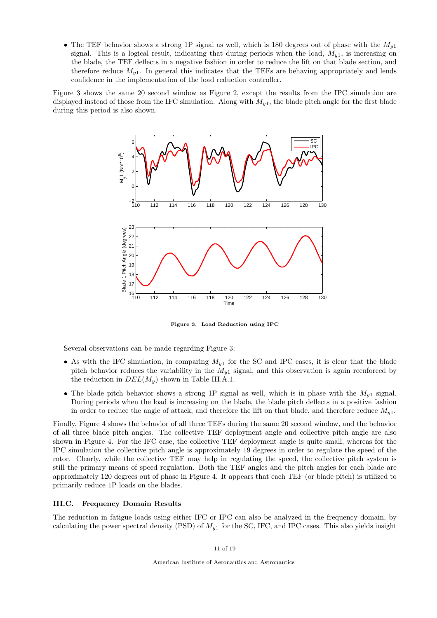• The TEF behavior shows a strong 1P signal as well, which is 180 degrees out of phase with the  $M_{u1}$ signal. This is a logical result, indicating that during periods when the load,  $M_{y1}$ , is increasing on the blade, the TEF deflects in a negative fashion in order to reduce the lift on that blade section, and therefore reduce  $M_{u1}$ . In general this indicates that the TEFs are behaving appropriately and lends confidence in the implementation of the load reduction controller.

Figure 3 shows the same 20 second window as Figure 2, except the results from the IPC simulation are displayed instead of those from the IFC simulation. Along with  $M_{y1}$ , the blade pitch angle for the first blade during this period is also shown.



Figure 3. Load Reduction using IPC

Several observations can be made regarding Figure 3:

- As with the IFC simulation, in comparing  $M_{y1}$  for the SC and IPC cases, it is clear that the blade pitch behavior reduces the variability in the  $M_{y1}$  signal, and this observation is again reenforced by the reduction in  $DEL(M_y)$  shown in Table III.A.1.
- The blade pitch behavior shows a strong 1P signal as well, which is in phase with the  $M_{y1}$  signal. During periods when the load is increasing on the blade, the blade pitch deflects in a positive fashion in order to reduce the angle of attack, and therefore the lift on that blade, and therefore reduce  $M_{y1}$ .

Finally, Figure 4 shows the behavior of all three TEFs during the same 20 second window, and the behavior of all three blade pitch angles. The collective TEF deployment angle and collective pitch angle are also shown in Figure 4. For the IFC case, the collective TEF deployment angle is quite small, whereas for the IPC simulation the collective pitch angle is approximately 19 degrees in order to regulate the speed of the rotor. Clearly, while the collective TEF may help in regulating the speed, the collective pitch system is still the primary means of speed regulation. Both the TEF angles and the pitch angles for each blade are approximately 120 degrees out of phase in Figure 4. It appears that each TEF (or blade pitch) is utilized to primarily reduce 1P loads on the blades.

## III.C. Frequency Domain Results

The reduction in fatigue loads using either IFC or IPC can also be analyzed in the frequency domain, by calculating the power spectral density (PSD) of  $M_{y1}$  for the SC, IFC, and IPC cases. This also yields insight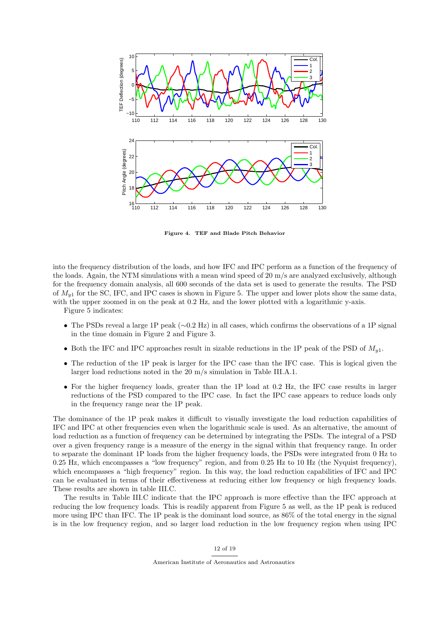

Figure 4. TEF and Blade Pitch Behavior

into the frequency distribution of the loads, and how IFC and IPC perform as a function of the frequency of the loads. Again, the NTM simulations with a mean wind speed of 20 m/s are analyzed exclusively, although for the frequency domain analysis, all 600 seconds of the data set is used to generate the results. The PSD of  $M_{y1}$  for the SC, IFC, and IPC cases is shown in Figure 5. The upper and lower plots show the same data, with the upper zoomed in on the peak at 0.2 Hz, and the lower plotted with a logarithmic y-axis. Figure 5 indicates:

- The PSDs reveal a large 1P peak (∼0.2 Hz) in all cases, which confirms the observations of a 1P signal in the time domain in Figure 2 and Figure 3.
- Both the IFC and IPC approaches result in sizable reductions in the 1P peak of the PSD of  $M_{\nu1}$ .
- The reduction of the 1P peak is larger for the IPC case than the IFC case. This is logical given the larger load reductions noted in the 20 m/s simulation in Table III.A.1.
- For the higher frequency loads, greater than the 1P load at 0.2 Hz, the IFC case results in larger reductions of the PSD compared to the IPC case. In fact the IPC case appears to reduce loads only in the frequency range near the 1P peak.

The dominance of the 1P peak makes it difficult to visually investigate the load reduction capabilities of IFC and IPC at other frequencies even when the logarithmic scale is used. As an alternative, the amount of load reduction as a function of frequency can be determined by integrating the PSDs. The integral of a PSD over a given frequency range is a measure of the energy in the signal within that frequency range. In order to separate the dominant 1P loads from the higher frequency loads, the PSDs were integrated from 0 Hz to 0.25 Hz, which encompasses a "low frequency" region, and from 0.25 Hz to 10 Hz (the Nyquist frequency), which encompasses a "high frequency" region. In this way, the load reduction capabilities of IFC and IPC can be evaluated in terms of their effectiveness at reducing either low frequency or high frequency loads. These results are shown in table III.C.

The results in Table III.C indicate that the IPC approach is more effective than the IFC approach at reducing the low frequency loads. This is readily apparent from Figure 5 as well, as the 1P peak is reduced more using IPC than IFC. The 1P peak is the dominant load source, as 86% of the total energy in the signal is in the low frequency region, and so larger load reduction in the low frequency region when using IPC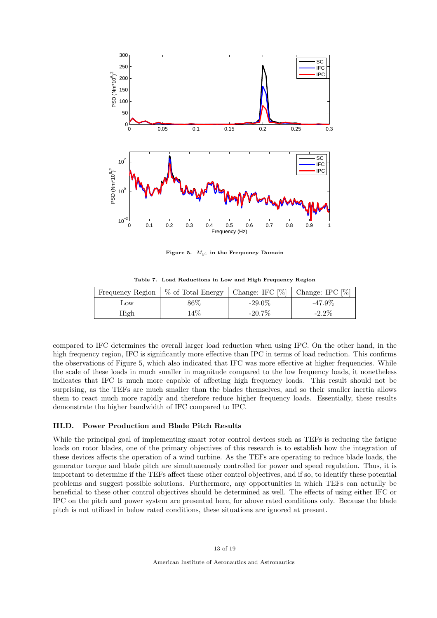

Figure 5.  $M_{y1}$  in the Frequency Domain

Table 7. Load Reductions in Low and High Frequency Region

| Frequency Region | $\%$ of Total Energy | Change: IFC $[\%]$ | Change: IPC $[\%]$ |
|------------------|----------------------|--------------------|--------------------|
| Low              | 86%                  | $-29.0\%$          | $-47.9\%$          |
| High             | 14%                  | $-20.7\%$          | $-2.2\%$           |

compared to IFC determines the overall larger load reduction when using IPC. On the other hand, in the high frequency region, IFC is significantly more effective than IPC in terms of load reduction. This confirms the observations of Figure 5, which also indicated that IFC was more effective at higher frequencies. While the scale of these loads in much smaller in magnitude compared to the low frequency loads, it nonetheless indicates that IFC is much more capable of affecting high frequency loads. This result should not be surprising, as the TEFs are much smaller than the blades themselves, and so their smaller inertia allows them to react much more rapidly and therefore reduce higher frequency loads. Essentially, these results demonstrate the higher bandwidth of IFC compared to IPC.

## III.D. Power Production and Blade Pitch Results

While the principal goal of implementing smart rotor control devices such as TEFs is reducing the fatigue loads on rotor blades, one of the primary objectives of this research is to establish how the integration of these devices affects the operation of a wind turbine. As the TEFs are operating to reduce blade loads, the generator torque and blade pitch are simultaneously controlled for power and speed regulation. Thus, it is important to determine if the TEFs affect these other control objectives, and if so, to identify these potential problems and suggest possible solutions. Furthermore, any opportunities in which TEFs can actually be beneficial to these other control objectives should be determined as well. The effects of using either IFC or IPC on the pitch and power system are presented here, for above rated conditions only. Because the blade pitch is not utilized in below rated conditions, these situations are ignored at present.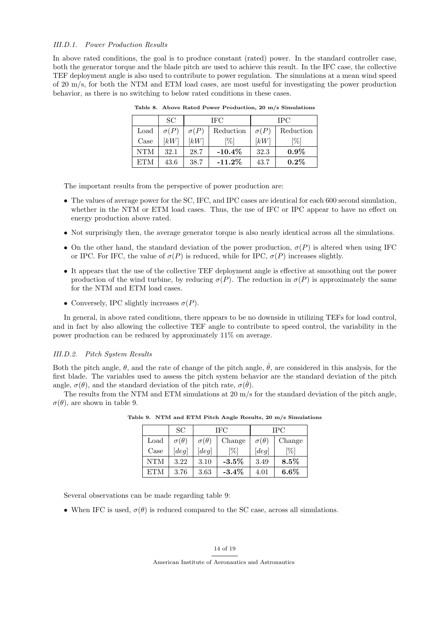## III.D.1. Power Production Results

In above rated conditions, the goal is to produce constant (rated) power. In the standard controller case, both the generator torque and the blade pitch are used to achieve this result. In the IFC case, the collective TEF deployment angle is also used to contribute to power regulation. The simulations at a mean wind speed of 20 m/s, for both the NTM and ETM load cases, are most useful for investigating the power production behavior, as there is no switching to below rated conditions in these cases.

|      | SC                | IFC               |           |                   | <b>IPC</b> |
|------|-------------------|-------------------|-----------|-------------------|------------|
| Load | $\sigma(P)$       | $\sigma(P)$       | Reduction | $\sigma(P)$       | Reduction  |
| Case | $\lceil kW\rceil$ | $\left[kW\right]$ | 961       | $\lceil kW\rceil$ | $ \% $     |
| NTM  | 32.1              | 28.7              | $-10.4\%$ | 32.3              | $0.9\%$    |
| ETM  | 43.6              | 38.7              | $-11.2\%$ | 43.7              | $0.2\%$    |

Table 8. Above Rated Power Production, 20 m/s Simulations

The important results from the perspective of power production are:

- The values of average power for the SC, IFC, and IPC cases are identical for each 600 second simulation, whether in the NTM or ETM load cases. Thus, the use of IFC or IPC appear to have no effect on energy production above rated.
- Not surprisingly then, the average generator torque is also nearly identical across all the simulations.
- On the other hand, the standard deviation of the power production,  $\sigma(P)$  is altered when using IFC or IPC. For IFC, the value of  $\sigma(P)$  is reduced, while for IPC,  $\sigma(P)$  increases slightly.
- It appears that the use of the collective TEF deployment angle is effective at smoothing out the power production of the wind turbine, by reducing  $\sigma(P)$ . The reduction in  $\sigma(P)$  is approximately the same for the NTM and ETM load cases.
- Conversely, IPC slightly increases  $\sigma(P)$ .

In general, in above rated conditions, there appears to be no downside in utilizing TEFs for load control, and in fact by also allowing the collective TEF angle to contribute to speed control, the variability in the power production can be reduced by approximately 11% on average.

#### III.D.2. Pitch System Results

Both the pitch angle,  $\theta$ , and the rate of change of the pitch angle,  $\dot{\theta}$ , are considered in this analysis, for the first blade. The variables used to assess the pitch system behavior are the standard deviation of the pitch angle,  $\sigma(\theta)$ , and the standard deviation of the pitch rate,  $\sigma(\dot{\theta})$ .

The results from the NTM and ETM simulations at 20 m/s for the standard deviation of the pitch angle,  $\sigma(\theta)$ , are shown in table 9.

|      | <b>SC</b>        | IFC              |          |                  | <b>IPC</b> |
|------|------------------|------------------|----------|------------------|------------|
| Load | $\sigma(\theta)$ | $\sigma(\theta)$ | Change   | $\sigma(\theta)$ | Change     |
| Case | [deg]            | [deg]            | [%]      | [deg]            | %          |
| NTM  | 3.22             | 3.10             | $-3.5\%$ | 3.49             | 8.5%       |
| ETM  | 3.76             | 3.63             | $-3.4\%$ | 4.01             | $6.6\%$    |

Table 9. NTM and ETM Pitch Angle Results, 20 m/s Simulations

Several observations can be made regarding table 9:

• When IFC is used,  $\sigma(\theta)$  is reduced compared to the SC case, across all simulations.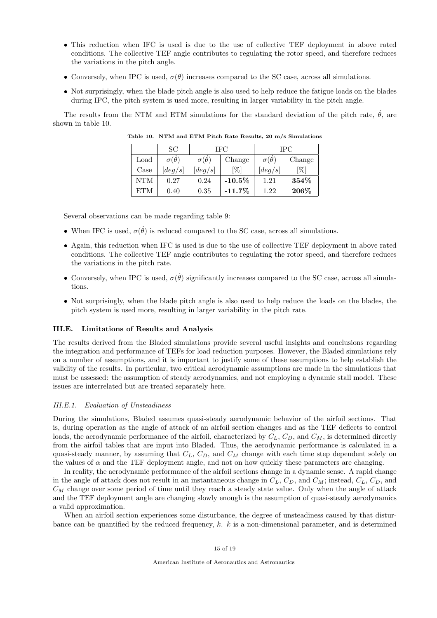- This reduction when IFC is used is due to the use of collective TEF deployment in above rated conditions. The collective TEF angle contributes to regulating the rotor speed, and therefore reduces the variations in the pitch angle.
- Conversely, when IPC is used,  $\sigma(\theta)$  increases compared to the SC case, across all simulations.
- Not surprisingly, when the blade pitch angle is also used to help reduce the fatigue loads on the blades during IPC, the pitch system is used more, resulting in larger variability in the pitch angle.

The results from the NTM and ETM simulations for the standard deviation of the pitch rate,  $\dot{\theta}$ , are shown in table 10.

|      | SC                      | IFC              |            |                      | <b>TPC</b> |
|------|-------------------------|------------------|------------|----------------------|------------|
| Load | $\sigma(\theta)$        | $\sigma(\theta)$ | Change     | $\sigma(\theta)$     | Change     |
| Case | $\lfloor deg/s \rfloor$ | [deg/s]          | [%]        | $\lceil deg/s\rceil$ | [%]        |
| NTM  | 0.27                    | 0.24             | -10.5 $\%$ | 1.21                 | 354\%      |
| ETM  | 0.40                    | 0.35             | $-11.7\%$  | 1.22                 | 206\%      |

Table 10. NTM and ETM Pitch Rate Results, 20 m/s Simulations

Several observations can be made regarding table 9:

- When IFC is used,  $\sigma(\dot{\theta})$  is reduced compared to the SC case, across all simulations.
- Again, this reduction when IFC is used is due to the use of collective TEF deployment in above rated conditions. The collective TEF angle contributes to regulating the rotor speed, and therefore reduces the variations in the pitch rate.
- Conversely, when IPC is used,  $\sigma(\dot{\theta})$  significantly increases compared to the SC case, across all simulations.
- Not surprisingly, when the blade pitch angle is also used to help reduce the loads on the blades, the pitch system is used more, resulting in larger variability in the pitch rate.

## III.E. Limitations of Results and Analysis

The results derived from the Bladed simulations provide several useful insights and conclusions regarding the integration and performance of TEFs for load reduction purposes. However, the Bladed simulations rely on a number of assumptions, and it is important to justify some of these assumptions to help establish the validity of the results. In particular, two critical aerodynamic assumptions are made in the simulations that must be assessed: the assumption of steady aerodynamics, and not employing a dynamic stall model. These issues are interrelated but are treated separately here.

## III.E.1. Evaluation of Unsteadiness

During the simulations, Bladed assumes quasi-steady aerodynamic behavior of the airfoil sections. That is, during operation as the angle of attack of an airfoil section changes and as the TEF deflects to control loads, the aerodynamic performance of the airfoil, characterized by  $C_L$ ,  $C_D$ , and  $C_M$ , is determined directly from the airfoil tables that are input into Bladed. Thus, the aerodynamic performance is calculated in a quasi-steady manner, by assuming that  $C_L$ ,  $C_D$ , and  $C_M$  change with each time step dependent solely on the values of  $\alpha$  and the TEF deployment angle, and not on how quickly these parameters are changing.

In reality, the aerodynamic performance of the airfoil sections change in a dynamic sense. A rapid change in the angle of attack does not result in an instantaneous change in  $C_L$ ,  $C_D$ , and  $C_M$ ; instead,  $C_L$ ,  $C_D$ , and  $C_M$  change over some period of time until they reach a steady state value. Only when the angle of attack and the TEF deployment angle are changing slowly enough is the assumption of quasi-steady aerodynamics a valid approximation.

When an airfoil section experiences some disturbance, the degree of unsteadiness caused by that disturbance can be quantified by the reduced frequency,  $k$ .  $k$  is a non-dimensional parameter, and is determined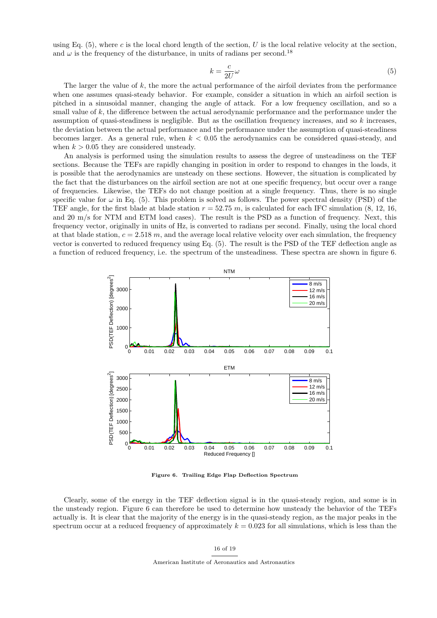using Eq.  $(5)$ , where c is the local chord length of the section, U is the local relative velocity at the section, and  $\omega$  is the frequency of the disturbance, in units of radians per second.<sup>18</sup>

$$
k = \frac{c}{2U}\omega\tag{5}
$$

The larger the value of  $k$ , the more the actual performance of the airfoil deviates from the performance when one assumes quasi-steady behavior. For example, consider a situation in which an airfoil section is pitched in a sinusoidal manner, changing the angle of attack. For a low frequency oscillation, and so a small value of  $k$ , the difference between the actual aerodynamic performance and the performance under the assumption of quasi-steadiness is negligible. But as the oscillation frequency increases, and so  $k$  increases, the deviation between the actual performance and the performance under the assumption of quasi-steadiness becomes larger. As a general rule, when  $k < 0.05$  the aerodynamics can be considered quasi-steady, and when  $k > 0.05$  they are considered unsteady.

An analysis is performed using the simulation results to assess the degree of unsteadiness on the TEF sections. Because the TEFs are rapidly changing in position in order to respond to changes in the loads, it is possible that the aerodynamics are unsteady on these sections. However, the situation is complicated by the fact that the disturbances on the airfoil section are not at one specific frequency, but occur over a range of frequencies. Likewise, the TEFs do not change position at a single frequency. Thus, there is no single specific value for  $\omega$  in Eq. (5). This problem is solved as follows. The power spectral density (PSD) of the TEF angle, for the first blade at blade station  $r = 52.75$  m, is calculated for each IFC simulation  $(8, 12, 16, 14)$ and 20 m/s for NTM and ETM load cases). The result is the PSD as a function of frequency. Next, this frequency vector, originally in units of Hz, is converted to radians per second. Finally, using the local chord at that blade station,  $c = 2.518$  m, and the average local relative velocity over each simulation, the frequency vector is converted to reduced frequency using Eq. (5). The result is the PSD of the TEF deflection angle as a function of reduced frequency, i.e. the spectrum of the unsteadiness. These spectra are shown in figure 6.



Figure 6. Trailing Edge Flap Deflection Spectrum

Clearly, some of the energy in the TEF deflection signal is in the quasi-steady region, and some is in the unsteady region. Figure 6 can therefore be used to determine how unsteady the behavior of the TEFs actually is. It is clear that the majority of the energy is in the quasi-steady region, as the major peaks in the spectrum occur at a reduced frequency of approximately  $k = 0.023$  for all simulations, which is less than the

16 of 19

American Institute of Aeronautics and Astronautics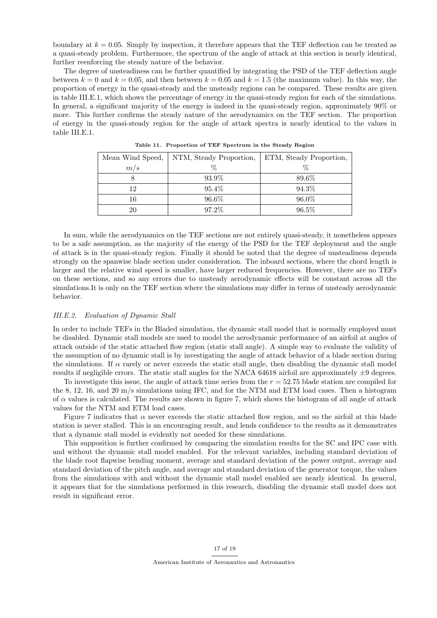boundary at  $k = 0.05$ . Simply by inspection, it therefore appears that the TEF deflection can be treated as a quasi-steady problem. Furthermore, the spectrum of the angle of attack at this section is nearly identical, further reenforcing the steady nature of the behavior.

The degree of unsteadiness can be further quantified by integrating the PSD of the TEF deflection angle between  $k = 0$  and  $k = 0.05$ , and then between  $k = 0.05$  and  $k = 1.5$  (the maximum value). In this way, the proportion of energy in the quasi-steady and the unsteady regions can be compared. These results are given in table III.E.1, which shows the percentage of energy in the quasi-steady region for each of the simulations. In general, a significant majority of the energy is indeed in the quasi-steady region, approximately 90% or more. This further confirms the steady nature of the aerodynamics on the TEF section. The proportion of energy in the quasi-steady region for the angle of attack spectra is nearly identical to the values in table III.E.1.

|     | Mean Wind Speed,   NTM, Steady Proportion,   ETM, Steady Proportion, |          |
|-----|----------------------------------------------------------------------|----------|
| m/s | $\%$                                                                 |          |
|     | 93.9%                                                                | 89.6%    |
| 12  | 95.4\%                                                               | 94.3%    |
| 16  | 96.6%                                                                | 96.0%    |
| 20  | 97.2%                                                                | $96.5\%$ |

Table 11. Proportion of TEF Spectrum in the Steady Region

In sum, while the aerodynamics on the TEF sections are not entirely quasi-steady, it nonetheless appears to be a safe assumption, as the majority of the energy of the PSD for the TEF deployment and the angle of attack is in the quasi-steady region. Finally it should be noted that the degree of unsteadiness depends strongly on the spanwise blade section under consideration. The inboard sections, where the chord length is larger and the relative wind speed is smaller, have larger reduced frequencies. However, there are no TEFs on these sections, and so any errors due to unsteady aerodynamic effects will be constant across all the simulations.It is only on the TEF section where the simulations may differ in terms of unsteady aerodynamic behavior.

## III.E.2. Evaluation of Dynamic Stall

In order to include TEFs in the Bladed simulation, the dynamic stall model that is normally employed must be disabled. Dynamic stall models are used to model the aerodynamic performance of an airfoil at angles of attack outside of the static attached flow region (static stall angle). A simple way to evaluate the validity of the assumption of no dynamic stall is by investigating the angle of attack behavior of a blade section during the simulations. If  $\alpha$  rarely or never exceeds the static stall angle, then disabling the dynamic stall model results if negligible errors. The static stall angles for the NACA 64618 airfoil are approximately  $\pm 9$  degrees.

To investigate this issue, the angle of attack time series from the  $r = 52.75$  blade station are compiled for the 8, 12, 16, and 20 m/s simulations using IFC, and for the NTM and ETM load cases. Then a histogram of  $\alpha$  values is calculated. The results are shown in figure 7, which shows the histogram of all angle of attack values for the NTM and ETM load cases.

Figure 7 indicates that  $\alpha$  never exceeds the static attached flow region, and so the airfoil at this blade station is never stalled. This is an encouraging result, and lends confidence to the results as it demonstrates that a dynamic stall model is evidently not needed for these simulations.

This supposition is further confirmed by comparing the simulation results for the SC and IPC case with and without the dynamic stall model enabled. For the relevant variables, including standard deviation of the blade root flapwise bending moment, average and standard deviation of the power output, average and standard deviation of the pitch angle, and average and standard deviation of the generator torque, the values from the simulations with and without the dynamic stall model enabled are nearly identical. In general, it appears that for the simulations performed in this research, disabling the dynamic stall model does not result in significant error.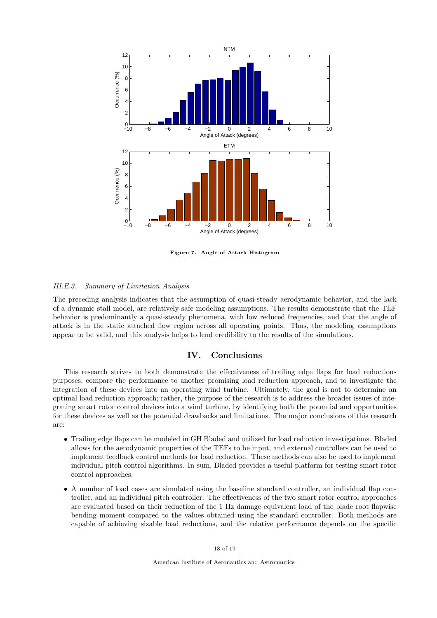

Figure 7. Angle of Attack Histogram

## III.E.3. Summary of Limitation Analysis

The preceding analysis indicates that the assumption of quasi-steady aerodynamic behavior, and the lack of a dynamic stall model, are relatively safe modeling assumptions. The results demonstrate that the TEF behavior is predominantly a quasi-steady phenomena, with low reduced frequencies, and that the angle of attack is in the static attached flow region across all operating points. Thus, the modeling assumptions appear to be valid, and this analysis helps to lend credibility to the results of the simulations.

## IV. Conclusions

This research strives to both demonstrate the effectiveness of trailing edge flaps for load reductions purposes, compare the performance to another promising load reduction approach, and to investigate the integration of these devices into an operating wind turbine. Ultimately, the goal is not to determine an optimal load reduction approach; rather, the purpose of the research is to address the broader issues of integrating smart rotor control devices into a wind turbine, by identifying both the potential and opportunities for these devices as well as the potential drawbacks and limitations. The major conclusions of this research are:

- Trailing edge flaps can be modeled in GH Bladed and utilized for load reduction investigations. Bladed allows for the aerodynamic properties of the TEFs to be input, and external controllers can be used to implement feedback control methods for load reduction. These methods can also be used to implement individual pitch control algorithms. In sum, Bladed provides a useful platform for testing smart rotor control approaches.
- A number of load cases are simulated using the baseline standard controller, an individual flap controller, and an individual pitch controller. The effectiveness of the two smart rotor control approaches are evaluated based on their reduction of the 1 Hz damage equivalent load of the blade root flapwise bending moment compared to the values obtained using the standard controller. Both methods are capable of achieving sizable load reductions, and the relative performance depends on the specific